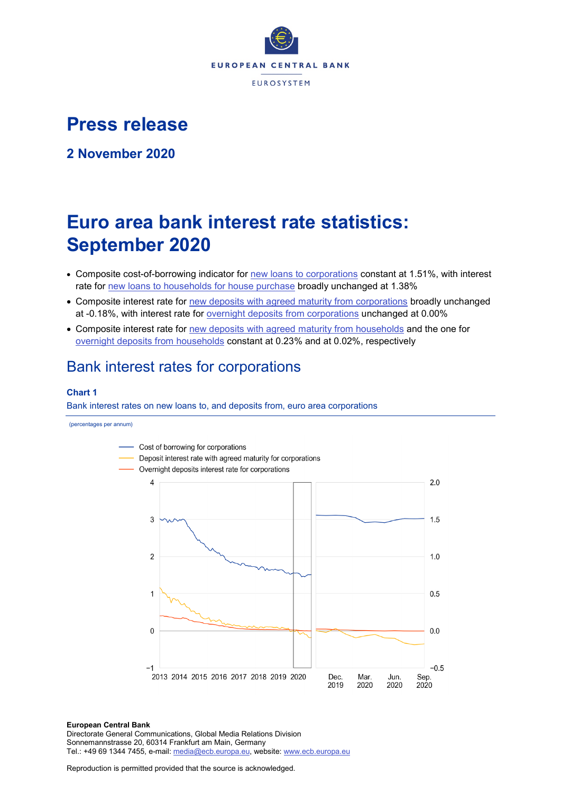

# **Press release**

**2 November 2020**

# **Euro area bank interest rate statistics: September 2020**

- Composite cost-of-borrowing indicator for [new loans to corporations](http://sdw.ecb.europa.eu/quickview.do?SERIES_KEY=124.MIR.M.U2.B.A2I.AM.R.A.2240.EUR.N) constant at 1.51%, with interest rate for [new loans to households for house purchase](http://sdw.ecb.europa.eu/quickview.do?SERIES_KEY=124.MIR.M.U2.B.A2C.AM.R.A.2250.EUR.N) broadly unchanged at 1.38%
- Composite interest rate for [new deposits with agreed maturity from corporations](http://sdw.ecb.europa.eu/quickview.do?SERIES_KEY=124.MIR.M.U2.B.L22.A.R.A.2240.EUR.N) broadly unchanged at -0.18%, with interest rate for [overnight deposits](http://sdw.ecb.europa.eu/quickview.do?SERIES_KEY=124.MIR.M.U2.B.L21.A.R.A.2240.EUR.N) from corporations unchanged at 0.00%
- Composite interest rate for [new deposits with agreed maturity from households](http://sdw.ecb.europa.eu/quickview.do?SERIES_KEY=124.MIR.M.U2.B.L22.A.R.A.2250.EUR.N) and the one for [overnight deposits](http://sdw.ecb.europa.eu/quickview.do?SERIES_KEY=124.MIR.M.U2.B.L21.A.R.A.2250.EUR.N) from households constant at 0.23% and at 0.02%, respectively

# Bank interest rates for corporations

## **Chart 1**

Bank interest rates on new loans to, and deposits from, euro area corporations

(percentages per annum)



#### **European Central Bank**

Directorate General Communications, Global Media Relations Division Sonnemannstrasse 20, 60314 Frankfurt am Main, Germany Tel.: +49 69 1344 7455, e-mail: [media@ecb.europa.eu,](mailto:media@ecb.europa.eu) website: [www.ecb.europa.eu](http://www.ecb.europa.eu/)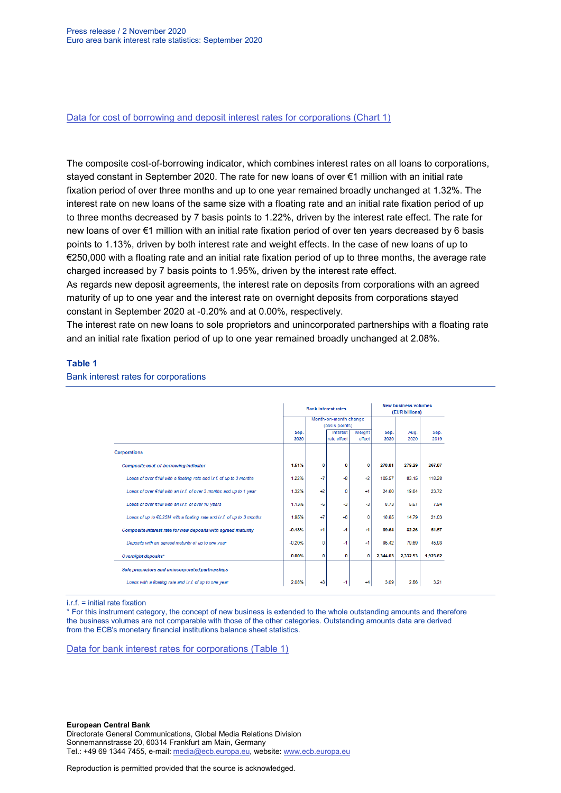[Data for cost of borrowing and deposit interest rates for corporations \(Chart 1\)](http://sdw.ecb.europa.eu/browseSelection.do?type=series&q=MIR.M.U2.B.L22.A.R.A.2240.EUR.N+MIR.M.U2.B.A2I.AM.R.A.2240.EUR.N+MIR.M.U2.B.L21.A.R.A.2240.EUR.N&node=SEARCHRESULTS)

The composite cost-of-borrowing indicator, which combines interest rates on all loans to corporations, stayed constant in September 2020. The rate for new loans of over €1 million with an initial rate fixation period of over three months and up to one year remained broadly unchanged at 1.32%. The interest rate on new loans of the same size with a floating rate and an initial rate fixation period of up to three months decreased by 7 basis points to 1.22%, driven by the interest rate effect. The rate for new loans of over €1 million with an initial rate fixation period of over ten years decreased by 6 basis points to 1.13%, driven by both interest rate and weight effects. In the case of new loans of up to €250,000 with a floating rate and an initial rate fixation period of up to three months, the average rate charged increased by 7 basis points to 1.95%, driven by the interest rate effect.

As regards new deposit agreements, the interest rate on deposits from corporations with an agreed maturity of up to one year and the interest rate on overnight deposits from corporations stayed constant in September 2020 at -0.20% and at 0.00%, respectively.

The interest rate on new loans to sole proprietors and unincorporated partnerships with a floating rate and an initial rate fixation period of up to one year remained broadly unchanged at 2.08%.

### **Table 1**

#### Bank interest rates for corporations

|                                                                               |          |                | <b>Bank interest rates</b> | <b>New business volumes</b><br>(EUR billions) |          |          |          |
|-------------------------------------------------------------------------------|----------|----------------|----------------------------|-----------------------------------------------|----------|----------|----------|
|                                                                               |          |                | Month-on-month change      |                                               |          |          |          |
|                                                                               |          | (basis points) |                            |                                               |          |          |          |
|                                                                               | Sep.     |                | Interest                   | Weight                                        | Sep.     | Aug.     | Sep.     |
|                                                                               | 2020     |                | rate effect                | effect                                        | 2020     | 2020     | 2019     |
| <b>Corporations</b>                                                           |          |                |                            |                                               |          |          |          |
| Composite cost-of-borrowing indicator                                         | 1.51%    | $\bf{0}$       | $\bf{0}$                   | $\bf{0}$                                      | 278.81   | 279.29   | 267.87   |
| Loans of over $\epsilon$ 1M with a floating rate and i.r.f. of up to 3 months | 1.22%    | -7             | $-8$                       | $+2$                                          | 105.57   | 83.15    | 118.28   |
| Loans of over €1M with an i.r.f. of over 3 months and up to 1 year            | 1.32%    | $+2$           | $\mathbf 0$                | $+1$                                          | 24.60    | 19.64    | 23.72    |
| Loans of over €1M with an i.r.f. of over 10 years                             | 1.13%    | $-6$           | $-3$                       | $-3$                                          | 8.73     | 5.67     | 7.94     |
| Loans of up to €0.25M with a floating rate and i.r.f. of up to 3 months       | 1.95%    | $+7$           | $+6$                       | $\Omega$                                      | 18.85    | 14.79    | 21.03    |
| Composite interest rate for new deposits with agreed maturity                 | $-0.18%$ | $+1$           | $-1$                       | $+1$                                          | 89.64    | 82.26    | 51.57    |
| Deposits with an agreed maturity of up to one year                            | $-0.20%$ | 0              | -1                         | $+1$                                          | 85.42    | 79.69    | 45.93    |
| Overnight deposits*                                                           | 0.00%    | 0              | 0                          | 0                                             | 2,344.03 | 2,332.53 | 1,923.62 |
| Sole proprietors and unincorporated partnerships                              |          |                |                            |                                               |          |          |          |
| Loans with a floating rate and i.r.f. of up to one year                       | 2.08%    | $+3$           | -1                         | +4                                            | 3.09     | 2.56     | 3.21     |

 $i.f = initial rate$  fixation

\* For this instrument category, the concept of new business is extended to the whole outstanding amounts and therefore the business volumes are not comparable with those of the other categories. Outstanding amounts data are derived from the ECB's monetary financial institutions balance sheet statistics.

[Data for bank interest rates for corporations \(Table 1\)](http://sdw.ecb.europa.eu/browseSelection.do?type=series&q=MIR.M.U2.B.A2I.AM.R.A.2240.EUR.N+MIR.M.U2.B.A2A.D.R.1.2240.EUR.N+MIR.M.U2.B.A2A.Q.R.1.2240.EUR.N+MIR.M.U2.B.A2A.P.R.1.2240.EUR.N++MIR.M.U2.B.A2A.D.R.2.2240.EUR.N++MIR.M.U2.B.L22.F.R.A.2240.EUR.N++MIR.M.U2.B.A2D.F.R.A.2253.EUR.N+MIR.M.U2.B.L22.A.R.A.2240.EUR.N+MIR.M.U2.B.L21.A.R.A.2240.EUR.N+&node=SEARCHRESULTS&ec=&oc=&rc=&cv=&pb=&dc=&df=)

#### **European Central Bank**

Directorate General Communications, Global Media Relations Division Sonnemannstrasse 20, 60314 Frankfurt am Main, Germany Tel.: +49 69 1344 7455, e-mail: [media@ecb.europa.eu,](mailto:media@ecb.europa.eu) website: [www.ecb.europa.eu](http://www.ecb.europa.eu/)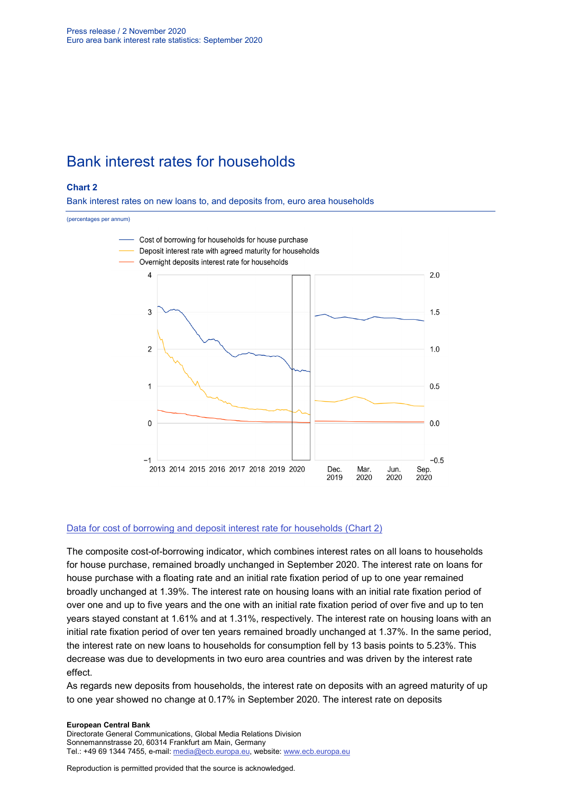# Bank interest rates for households

### **Chart 2**

Bank interest rates on new loans to, and deposits from, euro area households

#### (percentages per annum)



#### [Data for cost of borrowing and deposit interest rate for households \(Chart 2\)](http://sdw.ecb.europa.eu/browseSelection.do?type=series&q=MIR.M.U2.B.L22.A.R.A.2250.EUR.N+MIR.M.U2.B.A2C.AM.R.A.2250.EUR.N+MIR.M.U2.B.L21.A.R.A.2250.EUR.N&node=SEARCHRESULTS)

The composite cost-of-borrowing indicator, which combines interest rates on all loans to households for house purchase, remained broadly unchanged in September 2020. The interest rate on loans for house purchase with a floating rate and an initial rate fixation period of up to one year remained broadly unchanged at 1.39%. The interest rate on housing loans with an initial rate fixation period of over one and up to five years and the one with an initial rate fixation period of over five and up to ten years stayed constant at 1.61% and at 1.31%, respectively. The interest rate on housing loans with an initial rate fixation period of over ten years remained broadly unchanged at 1.37%. In the same period, the interest rate on new loans to households for consumption fell by 13 basis points to 5.23%. This decrease was due to developments in two euro area countries and was driven by the interest rate effect.

As regards new deposits from households, the interest rate on deposits with an agreed maturity of up to one year showed no change at 0.17% in September 2020. The interest rate on deposits

#### **European Central Bank**

Directorate General Communications, Global Media Relations Division Sonnemannstrasse 20, 60314 Frankfurt am Main, Germany Tel.: +49 69 1344 7455, e-mail: [media@ecb.europa.eu,](mailto:media@ecb.europa.eu) website: [www.ecb.europa.eu](http://www.ecb.europa.eu/)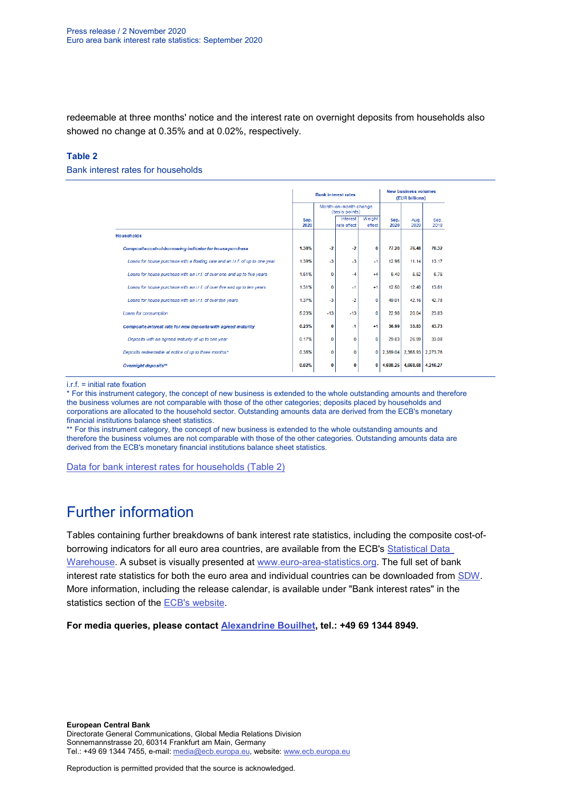redeemable at three months' notice and the interest rate on overnight deposits from households also showed no change at 0.35% and at 0.02%, respectively.

### **Table 2**

#### Bank interest rates for households

|                                                                               |                                         |              | <b>Bank interest rates</b> | <b>New business volumes</b><br>(EUR billions) |              |              |              |
|-------------------------------------------------------------------------------|-----------------------------------------|--------------|----------------------------|-----------------------------------------------|--------------|--------------|--------------|
|                                                                               | Month-on-month change<br>(basis points) |              |                            |                                               |              |              |              |
|                                                                               | Sep.<br>2020                            |              | Interest<br>rate effect    | Weight<br>effect                              | Sep.<br>2020 | Aug.<br>2020 | Sep.<br>2019 |
| <b>Households</b>                                                             |                                         |              |                            |                                               |              |              |              |
| Composite cost-of-borrowing indicator for house purchase                      | 1.38%                                   | $-2$         | $-2$                       | 0                                             | 77.20        | 76.48        | 70.32        |
| Loans for house purchase with a floating rate and an i.r.f. of up to one year | 1.39%                                   | $-3$         | $-3$                       | $-1$                                          | 12.95        | 11 14        | 13 17        |
| Loans for house purchase with an i.r.f. of over one and up to five years      | 1.61%                                   | $\mathbf{0}$ | $-4$                       | $+4$                                          | 6.40         | 5.52         | 6.75         |
| Loans for house purchase with an i.r.f. of over five and up to ten years      | 1.31%                                   | 0            | $-1$                       | $+1$                                          | 12.50        | 12.40        | 13.61        |
| Loans for house purchase with an i.r.f. of over ten years                     | 1.37%                                   | $-3$         | $-2$                       | o                                             | 49 01        | 42.16        | 42.78        |
| Loans for consumption                                                         | 5.23%                                   | $-13$        | $-13$                      | $\mathbf{O}$                                  | 22.98        | 20.04        | 23.83        |
| Composite interest rate for new deposits with agreed maturity                 | 0.23%                                   | 0            | $-1$                       | $+1$                                          | 36.99        | 33.83        | 43.73        |
| Deposits with an agreed maturity of up to one year                            | 0.17%                                   | 0            | 0                          | O                                             | 29.83        | 26.99        | 33.08        |
| Deposits redeemable at notice of up to three months*                          | 0.35%                                   | 0            | 0                          | O                                             | 2.359.04     | 2.355.93     | 2.273.76     |
| Overnight deposits**                                                          | 0.02%                                   | 0            | 0                          | 0                                             | 4.698.25     | 4.668.68     | 4.216.27     |

 $i$ .r.f. = initial rate fixation

\* For this instrument category, the concept of new business is extended to the whole outstanding amounts and therefore the business volumes are not comparable with those of the other categories; deposits placed by households and corporations are allocated to the household sector. Outstanding amounts data are derived from the ECB's monetary financial institutions balance sheet statistics.

\*\* For this instrument category, the concept of new business is extended to the whole outstanding amounts and therefore the business volumes are not comparable with those of the other categories. Outstanding amounts data are derived from the ECB's monetary financial institutions balance sheet statistics.

[Data for bank interest rates for households \(Table 2\)](http://sdw.ecb.europa.eu/browseSelection.do?type=series&q=MIR.M.U2.B.A2C.AM.R.A.2250.EUR.N%2cMIR.M.U2.B.A2C.F.R.A.2250.EUR.N%2cMIR.M.U2.B.A2C.P.R.A.2250.EUR.N%2cMIR.M.U2.B.A2B.A.R.A.2250.EUR.N%2cMIR.M.U2.B.A2C.I.R.A.2250.EUR.N%2cMIR.M.U2.B.A2C.O.R.A.2250.EUR.N%2cMIR.M.U2.B.L22.F.R.A.2250.EUR.N%2cMIR.M.U2.B.L23.D.R.A.2250.EUR.N%2cMIR.M.U2.B.L22.A.R.A.2250.EUR.N%2cMIR.M.U2.B.L21.A.R.A.2250.EUR.N&node=SEARCHRESULTS&ec=&oc=&rc=&cv=&pb=&dc=&df=)

# Further information

Tables containing further breakdowns of bank interest rate statistics, including the composite cost-ofborrowing indicators for all euro area countries, are available from the ECB's Statistical Data [Warehouse.](http://sdw.ecb.europa.eu/reports.do?node=1000002880) A subset is visually presented at [www.euro-area-statistics.org.](http://www.euro-area-statistics.org/) The full set of bank interest rate statistics for both the euro area and individual countries can be downloaded from [SDW.](http://sdw.ecb.europa.eu/browse.do?node=9691123) More information, including the release calendar, is available under "Bank interest rates" in the statistics section of the [ECB's website.](http://www.ecb.europa.eu/stats/financial_markets_and_interest_rates/bank_interest_rates/mfi_interest_rates/html/index.en.html)

**For media queries, please contact [Alexandrine Bouilhet,](mailto:mailto:alexandrine.bouilhet@ecb.europa.eu) tel.: +49 69 1344 8949.**